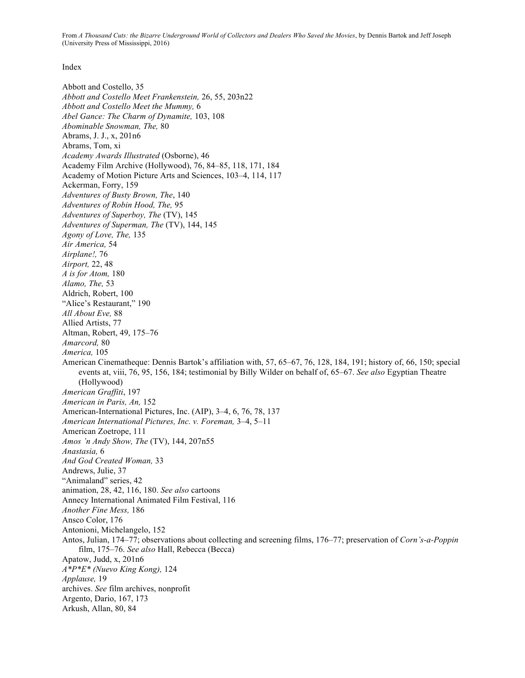Index

Abbott and Costello, 35 *Abbott and Costello Meet Frankenstein,* 26, 55, 203n22 *Abbott and Costello Meet the Mummy,* 6 *Abel Gance: The Charm of Dynamite,* 103, 108 *Abominable Snowman, The,* 80 Abrams, J. J., x, 201n6 Abrams, Tom, xi *Academy Awards Illustrated* (Osborne), 46 Academy Film Archive (Hollywood), 76, 84–85, 118, 171, 184 Academy of Motion Picture Arts and Sciences, 103–4, 114, 117 Ackerman, Forry, 159 *Adventures of Busty Brown, The*, 140 *Adventures of Robin Hood, The,* 95 *Adventures of Superboy, The* (TV), 145 *Adventures of Superman, The* (TV), 144, 145 *Agony of Love, The,* 135 *Air America,* 54 *Airplane!,* 76 *Airport,* 22, 48 *A is for Atom,* 180 *Alamo, The,* 53 Aldrich, Robert, 100 "Alice's Restaurant," 190 *All About Eve,* 88 Allied Artists, 77 Altman, Robert, 49, 175–76 *Amarcord,* 80 *America,* 105 American Cinematheque: Dennis Bartok's affiliation with, 57, 65–67, 76, 128, 184, 191; history of, 66, 150; special events at, viii, 76, 95, 156, 184; testimonial by Billy Wilder on behalf of, 65–67. *See also* Egyptian Theatre (Hollywood) *American Graffiti*, 197 *American in Paris, An,* 152 American-International Pictures, Inc. (AIP), 3–4, 6, 76, 78, 137 *American International Pictures, Inc. v. Foreman,* 3–4, 5–11 American Zoetrope, 111 *Amos 'n Andy Show, The* (TV), 144, 207n55 *Anastasia,* 6 *And God Created Woman,* 33 Andrews, Julie, 37 "Animaland" series, 42 animation, 28, 42, 116, 180. *See also* cartoons Annecy International Animated Film Festival, 116 *Another Fine Mess,* 186 Ansco Color, 176 Antonioni, Michelangelo, 152 Antos, Julian, 174–77; observations about collecting and screening films, 176–77; preservation of *Corn's-a-Poppin* film, 175–76. *See also* Hall, Rebecca (Becca) Apatow, Judd, x, 201n6 *A\*P\*E\* (Nuevo King Kong),* 124 *Applause,* 19 archives. *See* film archives, nonprofit Argento, Dario, 167, 173 Arkush, Allan, 80, 84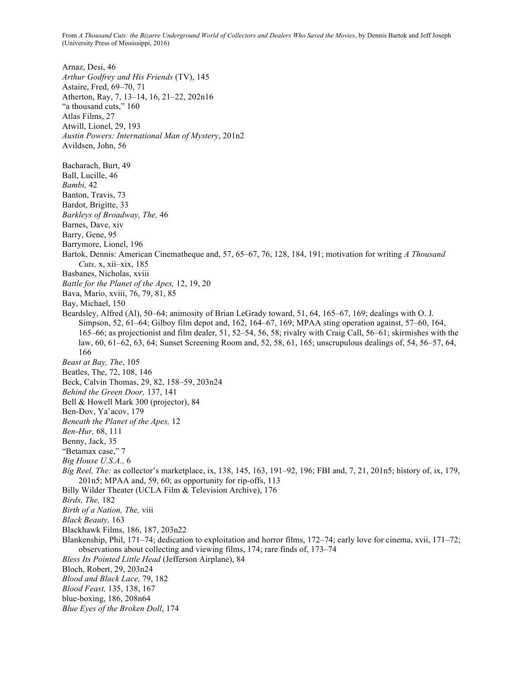Arnaz, Desi, 46 *Arthur Godfrey and His Friends* (TV), 145 Astaire, Fred, 69–70, 71 Atherton, Ray, 7, 13–14, 16, 21–22, 202n16 "a thousand cuts," 160 Atlas Films, 27 Atwill, Lionel, 29, 193 *Austin Powers: International Man of Mystery*, 201n2 Avildsen, John, 56 Bacharach, Burt, 49 Ball, Lucille, 46 *Bambi,* 42 Banton, Travis, 73 Bardot, Brigitte, 33 *Barkleys of Broadway, The,* 46 Barnes, Dave, xiv Barry, Gene, 95 Barrymore, Lionel, 196 Bartok, Dennis: American Cinematheque and, 57, 65–67, 76, 128, 184, 191; motivation for writing *A Thousand Cuts,* x, xii–xix, 185 Basbanes, Nicholas, xviii *Battle for the Planet of the Apes,* 12, 19, 20 Bava, Mario, xviii, 76, 79, 81, 85 Bay, Michael, 150 Beardsley, Alfred (Al), 50–64; animosity of Brian LeGrady toward, 51, 64, 165–67, 169; dealings with O. J. Simpson, 52, 61–64; Gilboy film depot and, 162, 164–67, 169; MPAA sting operation against, 57–60, 164, 165–66; as projectionist and film dealer, 51, 52–54, 56, 58; rivalry with Craig Call, 56–61; skirmishes with the law, 60, 61–62, 63, 64; Sunset Screening Room and, 52, 58, 61, 165; unscrupulous dealings of, 54, 56–57, 64, 166 *Beast at Bay, The*, 105 Beatles, The, 72, 108, 146 Beck, Calvin Thomas, 29, 82, 158–59, 203n24 *Behind the Green Door,* 137, 141 Bell & Howell Mark 300 (projector), 84 Ben-Dov, Ya'acov, 179 *Beneath the Planet of the Apes,* 12 *Ben-Hur,* 68, 111 Benny, Jack, 35 "Betamax case," 7 *Big House U.S.A.,* 6 *Big Reel, The:* as collector's marketplace, ix, 138, 145, 163, 191–92, 196; FBI and, 7, 21, 201n5; history of, ix, 179, 201n5; MPAA and, 59, 60; as opportunity for rip-offs, 113 Billy Wilder Theater (UCLA Film & Television Archive), 176 *Birds, The,* 182 *Birth of a Nation, The,* viii *Black Beauty,* 163 Blackhawk Films, 186, 187, 203n22 Blankenship, Phil, 171–74; dedication to exploitation and horror films, 172–74; early love for cinema, xvii, 171–72; observations about collecting and viewing films, 174; rare finds of, 173–74 *Bless Its Pointed Little Head* (Jefferson Airplane), 84 Bloch, Robert, 29, 203n24 *Blood and Black Lace,* 79, 182 *Blood Feast,* 135, 138, 167 blue-boxing, 186, 208n64 *Blue Eyes of the Broken Doll*, 174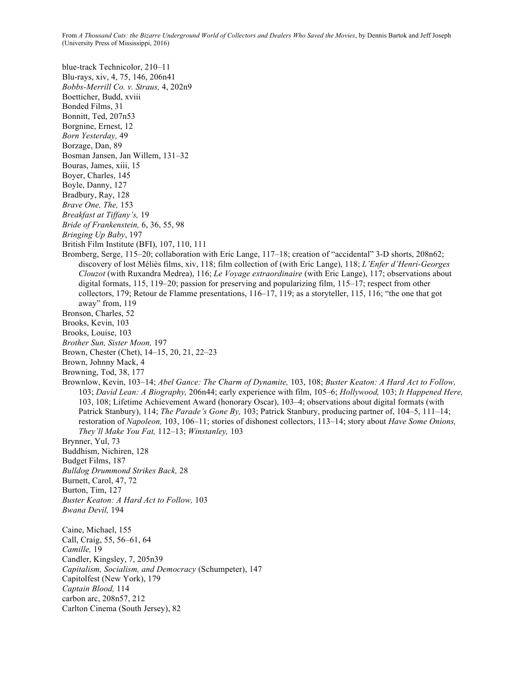blue-track Technicolor, 210–11 Blu-rays, xiv, 4, 75, 146, 206n41 *Bobbs-Merrill Co. v. Straus,* 4, 202n9 Boetticher, Budd, xviii Bonded Films, 31 Bonnitt, Ted, 207n53 Borgnine, Ernest, 12 *Born Yesterday,* 49 Borzage, Dan, 89 Bosman Jansen, Jan Willem, 131–32 Bouras, James, xiii, 15 Boyer, Charles, 145 Boyle, Danny, 127 Bradbury, Ray, 128 *Brave One, The,* 153 *Breakfast at Tiffany's,* 19 *Bride of Frankenstein,* 6, 36, 55, 98 *Bringing Up Baby*, 197 British Film Institute (BFI), 107, 110, 111 Bromberg, Serge, 115–20; collaboration with Eric Lange, 117–18; creation of "accidental" 3-D shorts, 208n62; discovery of lost Méliès films, xiv, 118; film collection of (with Eric Lange), 118; *L'Enfer d'Henri-Georges Clouzot* (with Ruxandra Medrea), 116; *Le Voyage extraordinaire* (with Eric Lange), 117; observations about digital formats, 115, 119–20; passion for preserving and popularizing film, 115–17; respect from other collectors, 179; Retour de Flamme presentations, 116–17, 119; as a storyteller, 115, 116; "the one that got away" from, 119 Bronson, Charles, 52 Brooks, Kevin, 103 Brooks, Louise, 103 *Brother Sun, Sister Moon,* 197 Brown, Chester (Chet), 14–15, 20, 21, 22–23 Brown, Johnny Mack, 4 Browning, Tod, 38, 177 Brownlow, Kevin, 103–14; *Abel Gance: The Charm of Dynamite,* 103, 108; *Buster Keaton: A Hard Act to Follow,* 103; *David Lean: A Biography,* 206n44; early experience with film, 105–6; *Hollywood,* 103; *It Happened Here,* 103, 108; Lifetime Achievement Award (honorary Oscar), 103–4; observations about digital formats (with Patrick Stanbury), 114; *The Parade's Gone By,* 103; Patrick Stanbury, producing partner of, 104–5, 111–14; restoration of *Napoleon,* 103, 106–11; stories of dishonest collectors, 113–14; story about *Have Some Onions, They'll Make You Fat,* 112–13; *Winstanley,* 103 Brynner, Yul, 73 Buddhism, Nichiren, 128 Budget Films, 187 *Bulldog Drummond Strikes Back,* 28 Burnett, Carol, 47, 72 Burton, Tim, 127 *Buster Keaton: A Hard Act to Follow,* 103 *Bwana Devil,* 194 Caine, Michael, 155 Call, Craig, 55, 56–61, 64 *Camille,* 19 Candler, Kingsley, 7, 205n39 *Capitalism, Socialism, and Democracy* (Schumpeter), 147 Capitolfest (New York), 179 *Captain Blood,* 114 carbon arc, 208n57, 212

Carlton Cinema (South Jersey), 82